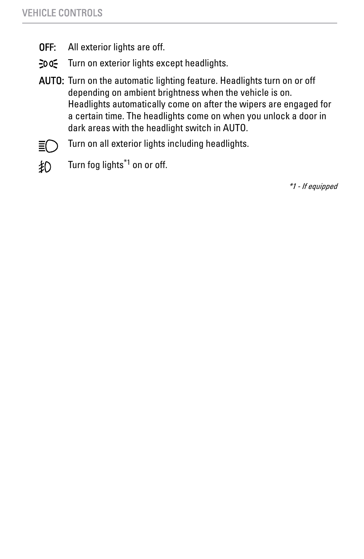- **OFF:** All exterior lights are off.
- Turn on exterior lights except headlights.  $-00$
- AUTO: Turn on the automatic lighting feature. Headlights turn on or off depending on ambient brightness when the vehicle is on. Headlights automatically come on after the wipers are engaged for a certain time. The headlights come on when you unlock a door in dark areas with the headlight switch in AUTO.
- 目
- Turn on all exterior lights including headlights.
- Turn fog lights<sup>\*1</sup> on or off. 钇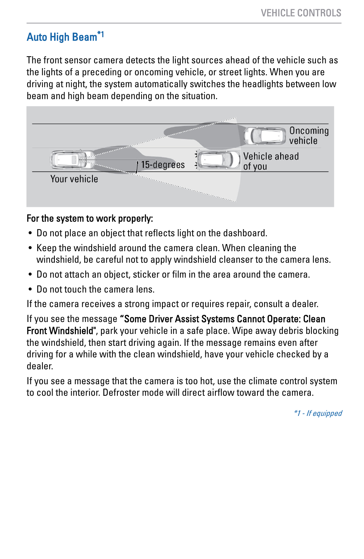# Auto High Beam\*1

The front sensor camera detects the light sources ahead of the vehicle such as the lights of a preceding or oncoming vehicle, or street lights. When you are driving at night, the system automatically switches the headlights between low beam and high beam depending on the situation.



## For the system to work properly:

- Do not place an object that reflects light on the dashboard.
- Keep the windshield around the camera clean. When cleaning the windshield, be careful not to apply windshield cleanser to the camera lens.
- Do not attach an object, sticker or film in the area around the camera.
- Do not touch the camera lens.

If the camera receives a strong impact or requires repair, consult a dealer.

If you see the message "Some Driver Assist Systems Cannot Operate: Clean Front Windshield", park your vehicle in a safe place. Wipe away debris blocking the windshield, then start driving again. If the message remains even after driving for a while with the clean windshield, have your vehicle checked by a dealer.

If you see a message that the camera is too hot, use the climate control system to cool the interior. Defroster mode will direct airflow toward the camera.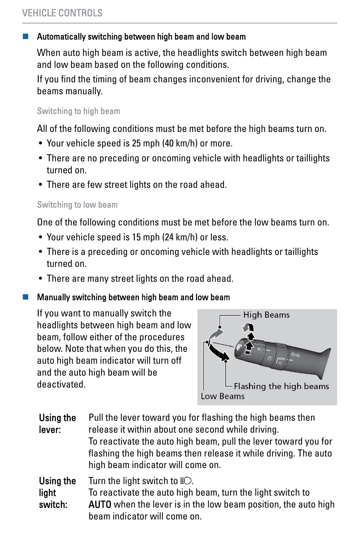# VEHICLE CONTROLS

## Automatically switching between high beam and low beam

When auto high beam is active, the headlights switch between high beam and low beam based on the following conditions.

If you find the timing of beam changes inconvenient for driving, change the beams manually.

#### Switching to high beam

All of the following conditions must be met before the high beams turn on.

- Your vehicle speed is 25 mph (40 km/h) or more.
- There are no preceding or oncoming vehicle with headlights or taillights turned on.
- There are few street lights on the road ahead.

#### Switching to low beam

One of the following conditions must be met before the low beams turn on.

- Your vehicle speed is 15 mph (24 km/h) or less.
- There is a preceding or oncoming vehicle with headlights or taillights turned on.
- There are many street lights on the road ahead.

#### Manually switching between high beam and low beam

If you want to manually switch the headlights between high beam and low beam, follow either of the procedures below. Note that when you do this, the auto high beam indicator will turn off and the auto high beam will be deactivated.



| Using the<br>lever: | Pull the lever toward you for flashing the high beams then<br>release it within about one second while driving.<br>To reactivate the auto high beam, pull the lever toward you for<br>flashing the high beams then release it while driving. The auto<br>high beam indicator will come on. |
|---------------------|--------------------------------------------------------------------------------------------------------------------------------------------------------------------------------------------------------------------------------------------------------------------------------------------|
| Using the           | Turn the light switch to $E$ .                                                                                                                                                                                                                                                             |
| light               | To reactivate the auto high beam, turn the light switch to                                                                                                                                                                                                                                 |

switch: AUTO when the lever is in the low beam position, the auto high beam indicator will come on.